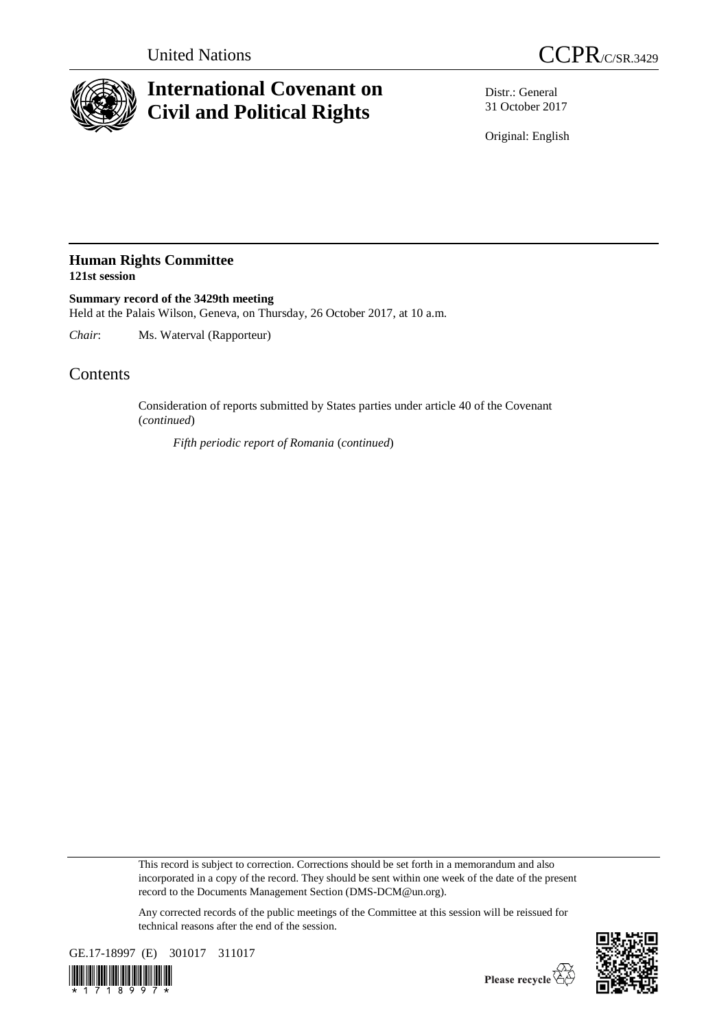

## **International Covenant on Civil and Political Rights**

Distr.: General 31 October 2017

Original: English

## **Human Rights Committee 121st session**

**Summary record of the 3429th meeting** Held at the Palais Wilson, Geneva, on Thursday, 26 October 2017, at 10 a.m.

*Chair*: Ms. Waterval (Rapporteur)

## **Contents**

Consideration of reports submitted by States parties under article 40 of the Covenant (*continued*)

*Fifth periodic report of Romania* (*continued*)

This record is subject to correction. Corrections should be set forth in a memorandum and also incorporated in a copy of the record. They should be sent within one week of the date of the present record to the Documents Management Section (DMS-DCM@un.org).

Any corrected records of the public meetings of the Committee at this session will be reissued for technical reasons after the end of the session.



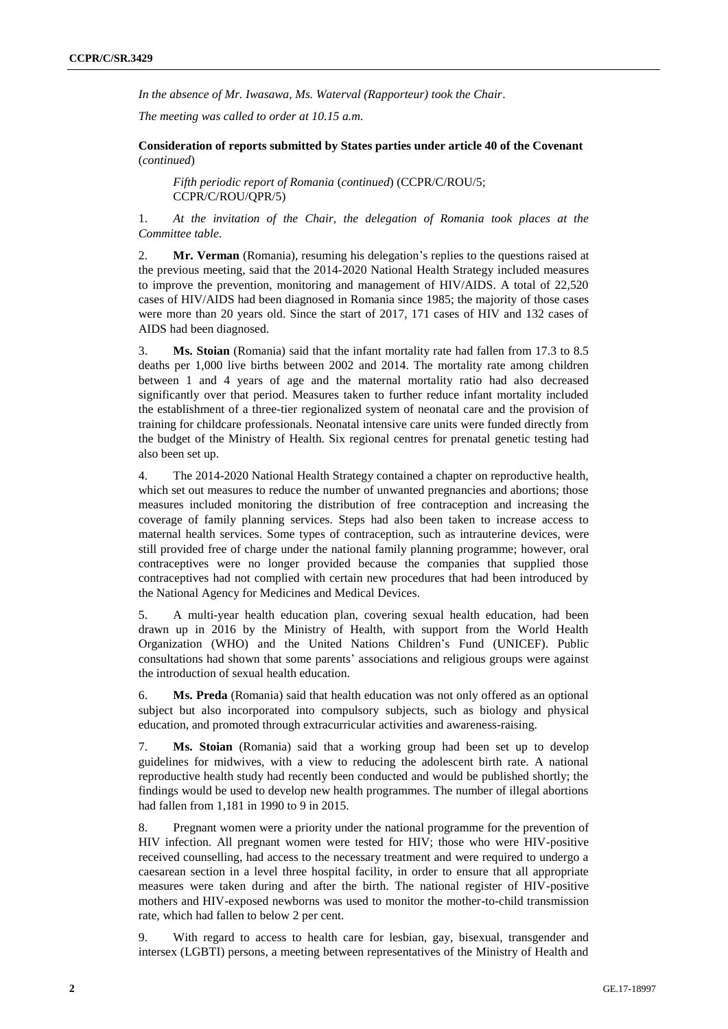*In the absence of Mr. Iwasawa, Ms. Waterval (Rapporteur) took the Chair*.

*The meeting was called to order at 10.15 a.m.*

**Consideration of reports submitted by States parties under article 40 of the Covenant** (*continued*)

*Fifth periodic report of Romania* (*continued*) (CCPR/C/ROU/5; CCPR/C/ROU/QPR/5)

1. *At the invitation of the Chair, the delegation of Romania took places at the Committee table*.

2. **Mr. Verman** (Romania), resuming his delegation's replies to the questions raised at the previous meeting, said that the 2014-2020 National Health Strategy included measures to improve the prevention, monitoring and management of HIV/AIDS. A total of 22,520 cases of HIV/AIDS had been diagnosed in Romania since 1985; the majority of those cases were more than 20 years old. Since the start of 2017, 171 cases of HIV and 132 cases of AIDS had been diagnosed.

3. **Ms. Stoian** (Romania) said that the infant mortality rate had fallen from 17.3 to 8.5 deaths per 1,000 live births between 2002 and 2014. The mortality rate among children between 1 and 4 years of age and the maternal mortality ratio had also decreased significantly over that period. Measures taken to further reduce infant mortality included the establishment of a three-tier regionalized system of neonatal care and the provision of training for childcare professionals. Neonatal intensive care units were funded directly from the budget of the Ministry of Health. Six regional centres for prenatal genetic testing had also been set up.

4. The 2014-2020 National Health Strategy contained a chapter on reproductive health, which set out measures to reduce the number of unwanted pregnancies and abortions; those measures included monitoring the distribution of free contraception and increasing the coverage of family planning services. Steps had also been taken to increase access to maternal health services. Some types of contraception, such as intrauterine devices, were still provided free of charge under the national family planning programme; however, oral contraceptives were no longer provided because the companies that supplied those contraceptives had not complied with certain new procedures that had been introduced by the National Agency for Medicines and Medical Devices.

5. A multi-year health education plan, covering sexual health education, had been drawn up in 2016 by the Ministry of Health, with support from the World Health Organization (WHO) and the United Nations Children's Fund (UNICEF). Public consultations had shown that some parents' associations and religious groups were against the introduction of sexual health education.

6. **Ms. Preda** (Romania) said that health education was not only offered as an optional subject but also incorporated into compulsory subjects, such as biology and physical education, and promoted through extracurricular activities and awareness-raising.

7. **Ms. Stoian** (Romania) said that a working group had been set up to develop guidelines for midwives, with a view to reducing the adolescent birth rate. A national reproductive health study had recently been conducted and would be published shortly; the findings would be used to develop new health programmes. The number of illegal abortions had fallen from 1,181 in 1990 to 9 in 2015.

8. Pregnant women were a priority under the national programme for the prevention of HIV infection. All pregnant women were tested for HIV; those who were HIV-positive received counselling, had access to the necessary treatment and were required to undergo a caesarean section in a level three hospital facility, in order to ensure that all appropriate measures were taken during and after the birth. The national register of HIV-positive mothers and HIV-exposed newborns was used to monitor the mother-to-child transmission rate, which had fallen to below 2 per cent.

9. With regard to access to health care for lesbian, gay, bisexual, transgender and intersex (LGBTI) persons, a meeting between representatives of the Ministry of Health and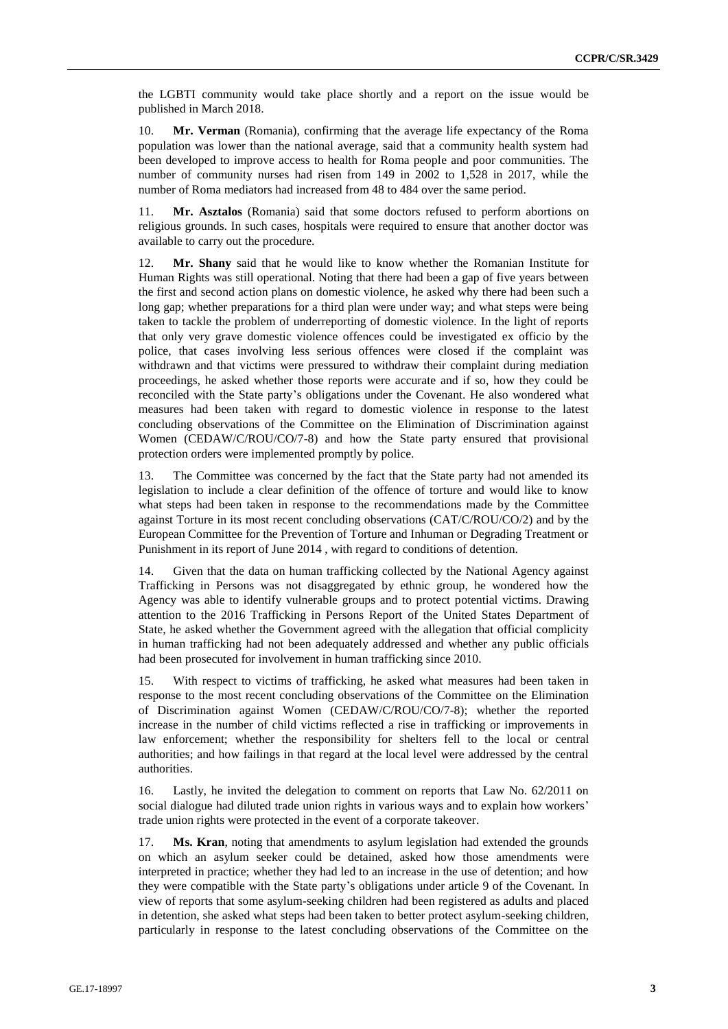the LGBTI community would take place shortly and a report on the issue would be published in March 2018.

10. **Mr. Verman** (Romania), confirming that the average life expectancy of the Roma population was lower than the national average, said that a community health system had been developed to improve access to health for Roma people and poor communities. The number of community nurses had risen from 149 in 2002 to 1,528 in 2017, while the number of Roma mediators had increased from 48 to 484 over the same period.

11. **Mr. Asztalos** (Romania) said that some doctors refused to perform abortions on religious grounds. In such cases, hospitals were required to ensure that another doctor was available to carry out the procedure.

12. **Mr. Shany** said that he would like to know whether the Romanian Institute for Human Rights was still operational. Noting that there had been a gap of five years between the first and second action plans on domestic violence, he asked why there had been such a long gap; whether preparations for a third plan were under way; and what steps were being taken to tackle the problem of underreporting of domestic violence. In the light of reports that only very grave domestic violence offences could be investigated ex officio by the police, that cases involving less serious offences were closed if the complaint was withdrawn and that victims were pressured to withdraw their complaint during mediation proceedings, he asked whether those reports were accurate and if so, how they could be reconciled with the State party's obligations under the Covenant. He also wondered what measures had been taken with regard to domestic violence in response to the latest concluding observations of the Committee on the Elimination of Discrimination against Women (CEDAW/C/ROU/CO/7-8) and how the State party ensured that provisional protection orders were implemented promptly by police.

13. The Committee was concerned by the fact that the State party had not amended its legislation to include a clear definition of the offence of torture and would like to know what steps had been taken in response to the recommendations made by the Committee against Torture in its most recent concluding observations (CAT/C/ROU/CO/2) and by the European Committee for the Prevention of Torture and Inhuman or Degrading Treatment or Punishment in its report of June 2014 , with regard to conditions of detention.

14. Given that the data on human trafficking collected by the National Agency against Trafficking in Persons was not disaggregated by ethnic group, he wondered how the Agency was able to identify vulnerable groups and to protect potential victims. Drawing attention to the 2016 Trafficking in Persons Report of the United States Department of State, he asked whether the Government agreed with the allegation that official complicity in human trafficking had not been adequately addressed and whether any public officials had been prosecuted for involvement in human trafficking since 2010.

15. With respect to victims of trafficking, he asked what measures had been taken in response to the most recent concluding observations of the Committee on the Elimination of Discrimination against Women (CEDAW/C/ROU/CO/7-8); whether the reported increase in the number of child victims reflected a rise in trafficking or improvements in law enforcement; whether the responsibility for shelters fell to the local or central authorities; and how failings in that regard at the local level were addressed by the central authorities.

16. Lastly, he invited the delegation to comment on reports that Law No. 62/2011 on social dialogue had diluted trade union rights in various ways and to explain how workers' trade union rights were protected in the event of a corporate takeover.

17. **Ms. Kran**, noting that amendments to asylum legislation had extended the grounds on which an asylum seeker could be detained, asked how those amendments were interpreted in practice; whether they had led to an increase in the use of detention; and how they were compatible with the State party's obligations under article 9 of the Covenant. In view of reports that some asylum-seeking children had been registered as adults and placed in detention, she asked what steps had been taken to better protect asylum-seeking children, particularly in response to the latest concluding observations of the Committee on the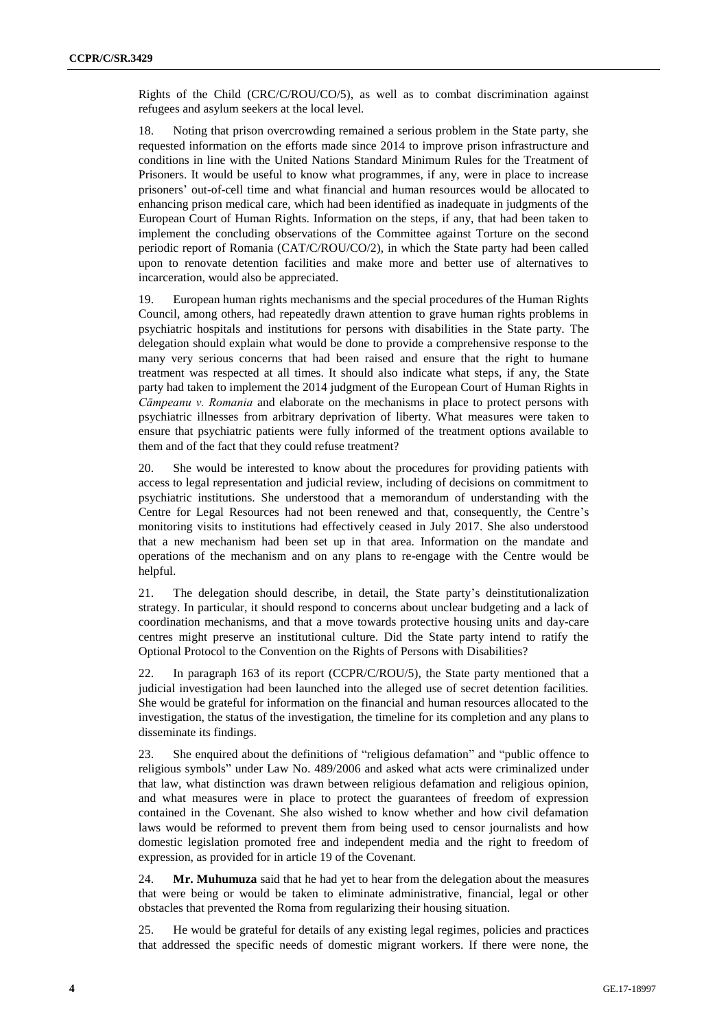Rights of the Child (CRC/C/ROU/CO/5), as well as to combat discrimination against refugees and asylum seekers at the local level.

18. Noting that prison overcrowding remained a serious problem in the State party, she requested information on the efforts made since 2014 to improve prison infrastructure and conditions in line with the United Nations Standard Minimum Rules for the Treatment of Prisoners. It would be useful to know what programmes, if any, were in place to increase prisoners' out-of-cell time and what financial and human resources would be allocated to enhancing prison medical care, which had been identified as inadequate in judgments of the European Court of Human Rights. Information on the steps, if any, that had been taken to implement the concluding observations of the Committee against Torture on the second periodic report of Romania (CAT/C/ROU/CO/2), in which the State party had been called upon to renovate detention facilities and make more and better use of alternatives to incarceration, would also be appreciated.

19. European human rights mechanisms and the special procedures of the Human Rights Council, among others, had repeatedly drawn attention to grave human rights problems in psychiatric hospitals and institutions for persons with disabilities in the State party. The delegation should explain what would be done to provide a comprehensive response to the many very serious concerns that had been raised and ensure that the right to humane treatment was respected at all times. It should also indicate what steps, if any, the State party had taken to implement the 2014 judgment of the European Court of Human Rights in *Cāmpeanu v. Romania* and elaborate on the mechanisms in place to protect persons with psychiatric illnesses from arbitrary deprivation of liberty. What measures were taken to ensure that psychiatric patients were fully informed of the treatment options available to them and of the fact that they could refuse treatment?

20. She would be interested to know about the procedures for providing patients with access to legal representation and judicial review, including of decisions on commitment to psychiatric institutions. She understood that a memorandum of understanding with the Centre for Legal Resources had not been renewed and that, consequently, the Centre's monitoring visits to institutions had effectively ceased in July 2017. She also understood that a new mechanism had been set up in that area. Information on the mandate and operations of the mechanism and on any plans to re-engage with the Centre would be helpful.

21. The delegation should describe, in detail, the State party's deinstitutionalization strategy. In particular, it should respond to concerns about unclear budgeting and a lack of coordination mechanisms, and that a move towards protective housing units and day-care centres might preserve an institutional culture. Did the State party intend to ratify the Optional Protocol to the Convention on the Rights of Persons with Disabilities?

22. In paragraph 163 of its report (CCPR/C/ROU/5), the State party mentioned that a judicial investigation had been launched into the alleged use of secret detention facilities. She would be grateful for information on the financial and human resources allocated to the investigation, the status of the investigation, the timeline for its completion and any plans to disseminate its findings.

23. She enquired about the definitions of "religious defamation" and "public offence to religious symbols" under Law No. 489/2006 and asked what acts were criminalized under that law, what distinction was drawn between religious defamation and religious opinion, and what measures were in place to protect the guarantees of freedom of expression contained in the Covenant. She also wished to know whether and how civil defamation laws would be reformed to prevent them from being used to censor journalists and how domestic legislation promoted free and independent media and the right to freedom of expression, as provided for in article 19 of the Covenant.

24. **Mr. Muhumuza** said that he had yet to hear from the delegation about the measures that were being or would be taken to eliminate administrative, financial, legal or other obstacles that prevented the Roma from regularizing their housing situation.

25. He would be grateful for details of any existing legal regimes, policies and practices that addressed the specific needs of domestic migrant workers. If there were none, the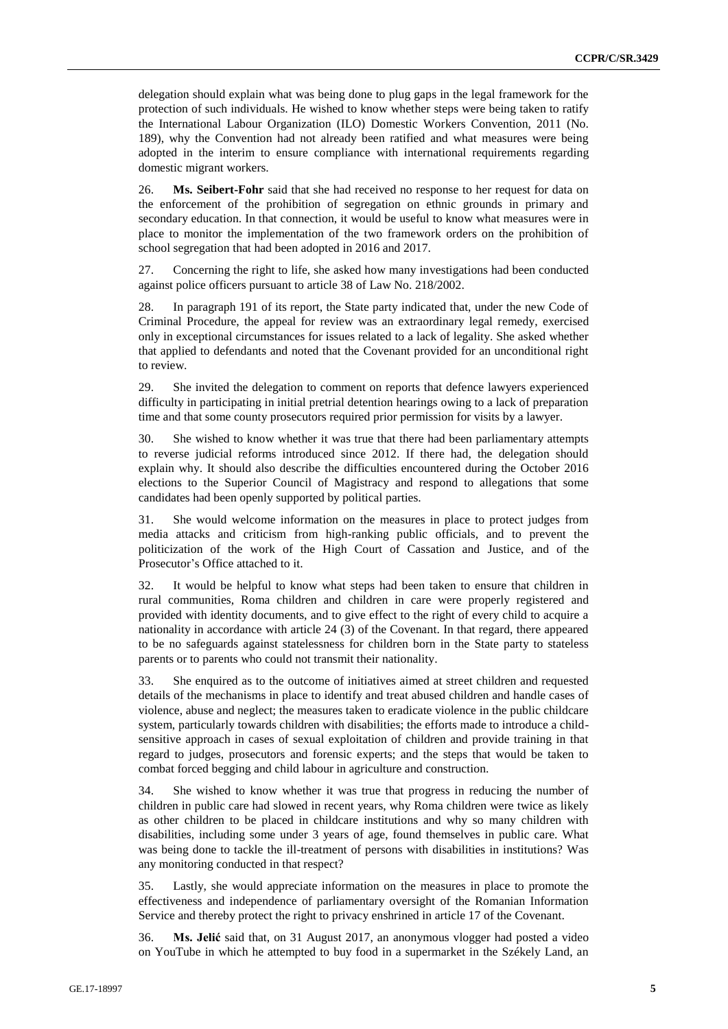delegation should explain what was being done to plug gaps in the legal framework for the protection of such individuals. He wished to know whether steps were being taken to ratify the International Labour Organization (ILO) Domestic Workers Convention, 2011 (No. 189), why the Convention had not already been ratified and what measures were being adopted in the interim to ensure compliance with international requirements regarding domestic migrant workers.

26. **Ms. Seibert-Fohr** said that she had received no response to her request for data on the enforcement of the prohibition of segregation on ethnic grounds in primary and secondary education. In that connection, it would be useful to know what measures were in place to monitor the implementation of the two framework orders on the prohibition of school segregation that had been adopted in 2016 and 2017.

27. Concerning the right to life, she asked how many investigations had been conducted against police officers pursuant to article 38 of Law No. 218/2002.

28. In paragraph 191 of its report, the State party indicated that, under the new Code of Criminal Procedure, the appeal for review was an extraordinary legal remedy, exercised only in exceptional circumstances for issues related to a lack of legality. She asked whether that applied to defendants and noted that the Covenant provided for an unconditional right to review.

29. She invited the delegation to comment on reports that defence lawyers experienced difficulty in participating in initial pretrial detention hearings owing to a lack of preparation time and that some county prosecutors required prior permission for visits by a lawyer.

30. She wished to know whether it was true that there had been parliamentary attempts to reverse judicial reforms introduced since 2012. If there had, the delegation should explain why. It should also describe the difficulties encountered during the October 2016 elections to the Superior Council of Magistracy and respond to allegations that some candidates had been openly supported by political parties.

31. She would welcome information on the measures in place to protect judges from media attacks and criticism from high-ranking public officials, and to prevent the politicization of the work of the High Court of Cassation and Justice, and of the Prosecutor's Office attached to it.

32. It would be helpful to know what steps had been taken to ensure that children in rural communities, Roma children and children in care were properly registered and provided with identity documents, and to give effect to the right of every child to acquire a nationality in accordance with article 24 (3) of the Covenant. In that regard, there appeared to be no safeguards against statelessness for children born in the State party to stateless parents or to parents who could not transmit their nationality.

33. She enquired as to the outcome of initiatives aimed at street children and requested details of the mechanisms in place to identify and treat abused children and handle cases of violence, abuse and neglect; the measures taken to eradicate violence in the public childcare system, particularly towards children with disabilities; the efforts made to introduce a childsensitive approach in cases of sexual exploitation of children and provide training in that regard to judges, prosecutors and forensic experts; and the steps that would be taken to combat forced begging and child labour in agriculture and construction.

34. She wished to know whether it was true that progress in reducing the number of children in public care had slowed in recent years, why Roma children were twice as likely as other children to be placed in childcare institutions and why so many children with disabilities, including some under 3 years of age, found themselves in public care. What was being done to tackle the ill-treatment of persons with disabilities in institutions? Was any monitoring conducted in that respect?

35. Lastly, she would appreciate information on the measures in place to promote the effectiveness and independence of parliamentary oversight of the Romanian Information Service and thereby protect the right to privacy enshrined in article 17 of the Covenant.

36. **Ms. Jelić** said that, on 31 August 2017, an anonymous vlogger had posted a video on YouTube in which he attempted to buy food in a supermarket in the Székely Land, an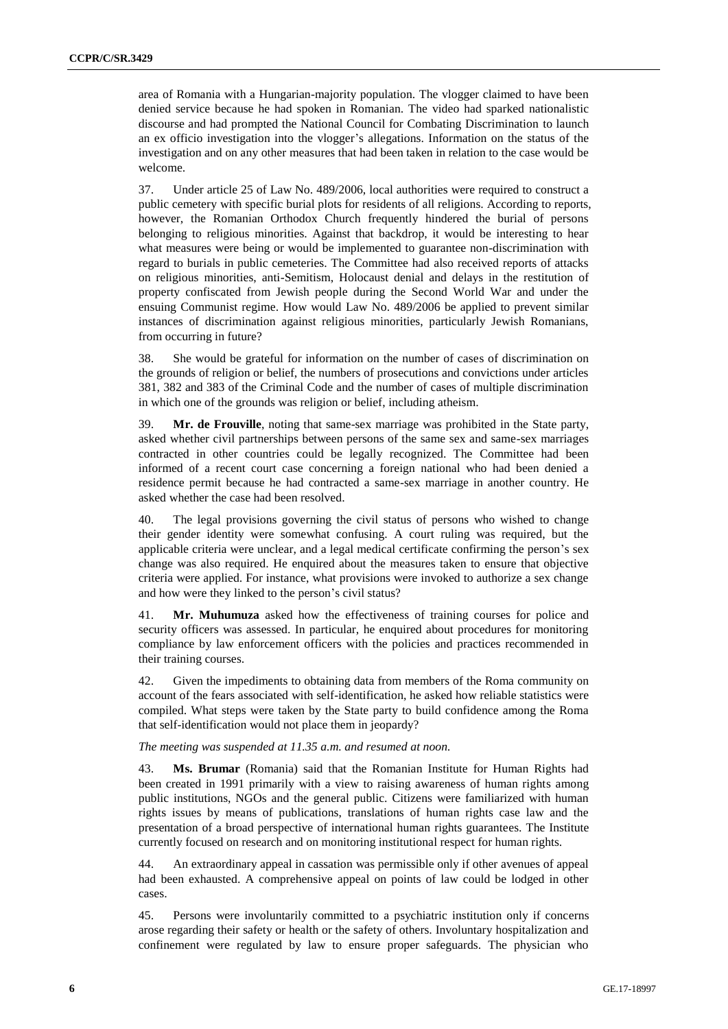area of Romania with a Hungarian-majority population. The vlogger claimed to have been denied service because he had spoken in Romanian. The video had sparked nationalistic discourse and had prompted the National Council for Combating Discrimination to launch an ex officio investigation into the vlogger's allegations. Information on the status of the investigation and on any other measures that had been taken in relation to the case would be welcome.

37. Under article 25 of Law No. 489/2006, local authorities were required to construct a public cemetery with specific burial plots for residents of all religions. According to reports, however, the Romanian Orthodox Church frequently hindered the burial of persons belonging to religious minorities. Against that backdrop, it would be interesting to hear what measures were being or would be implemented to guarantee non-discrimination with regard to burials in public cemeteries. The Committee had also received reports of attacks on religious minorities, anti-Semitism, Holocaust denial and delays in the restitution of property confiscated from Jewish people during the Second World War and under the ensuing Communist regime. How would Law No. 489/2006 be applied to prevent similar instances of discrimination against religious minorities, particularly Jewish Romanians, from occurring in future?

38. She would be grateful for information on the number of cases of discrimination on the grounds of religion or belief, the numbers of prosecutions and convictions under articles 381, 382 and 383 of the Criminal Code and the number of cases of multiple discrimination in which one of the grounds was religion or belief, including atheism.

39. **Mr. de Frouville**, noting that same-sex marriage was prohibited in the State party, asked whether civil partnerships between persons of the same sex and same-sex marriages contracted in other countries could be legally recognized. The Committee had been informed of a recent court case concerning a foreign national who had been denied a residence permit because he had contracted a same-sex marriage in another country. He asked whether the case had been resolved.

40. The legal provisions governing the civil status of persons who wished to change their gender identity were somewhat confusing. A court ruling was required, but the applicable criteria were unclear, and a legal medical certificate confirming the person's sex change was also required. He enquired about the measures taken to ensure that objective criteria were applied. For instance, what provisions were invoked to authorize a sex change and how were they linked to the person's civil status?

41. **Mr. Muhumuza** asked how the effectiveness of training courses for police and security officers was assessed. In particular, he enquired about procedures for monitoring compliance by law enforcement officers with the policies and practices recommended in their training courses.

42. Given the impediments to obtaining data from members of the Roma community on account of the fears associated with self-identification, he asked how reliable statistics were compiled. What steps were taken by the State party to build confidence among the Roma that self-identification would not place them in jeopardy?

## *The meeting was suspended at 11.35 a.m. and resumed at noon.*

43. **Ms. Brumar** (Romania) said that the Romanian Institute for Human Rights had been created in 1991 primarily with a view to raising awareness of human rights among public institutions, NGOs and the general public. Citizens were familiarized with human rights issues by means of publications, translations of human rights case law and the presentation of a broad perspective of international human rights guarantees. The Institute currently focused on research and on monitoring institutional respect for human rights.

44. An extraordinary appeal in cassation was permissible only if other avenues of appeal had been exhausted. A comprehensive appeal on points of law could be lodged in other cases.

45. Persons were involuntarily committed to a psychiatric institution only if concerns arose regarding their safety or health or the safety of others. Involuntary hospitalization and confinement were regulated by law to ensure proper safeguards. The physician who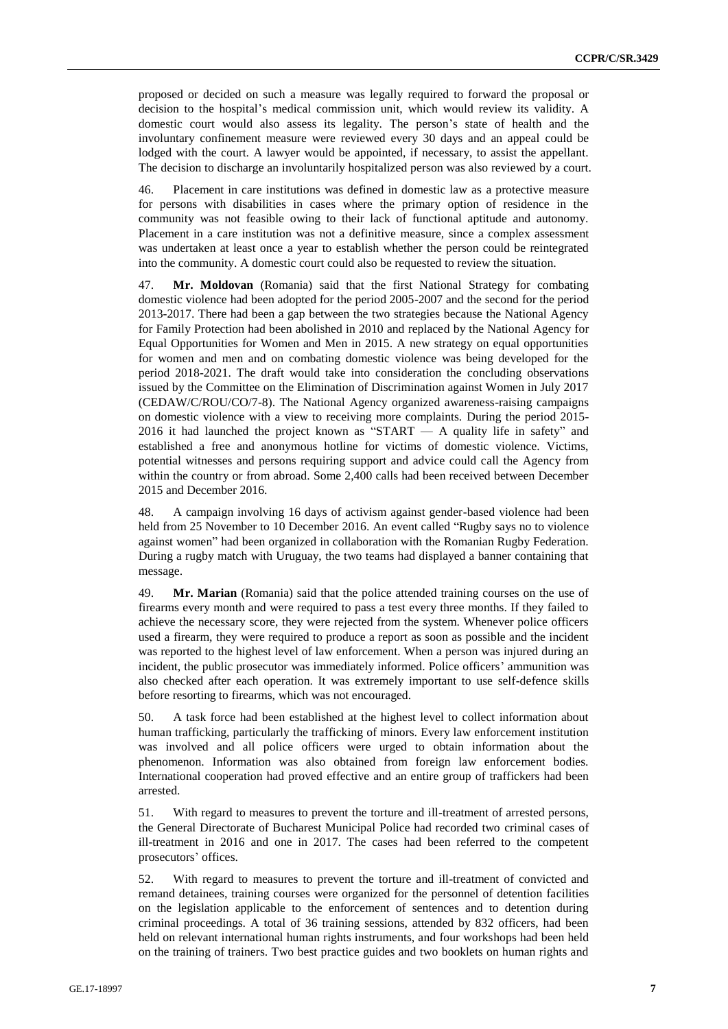proposed or decided on such a measure was legally required to forward the proposal or decision to the hospital's medical commission unit, which would review its validity. A domestic court would also assess its legality. The person's state of health and the involuntary confinement measure were reviewed every 30 days and an appeal could be lodged with the court. A lawyer would be appointed, if necessary, to assist the appellant. The decision to discharge an involuntarily hospitalized person was also reviewed by a court.

46. Placement in care institutions was defined in domestic law as a protective measure for persons with disabilities in cases where the primary option of residence in the community was not feasible owing to their lack of functional aptitude and autonomy. Placement in a care institution was not a definitive measure, since a complex assessment was undertaken at least once a year to establish whether the person could be reintegrated into the community. A domestic court could also be requested to review the situation.

47. **Mr. Moldovan** (Romania) said that the first National Strategy for combating domestic violence had been adopted for the period 2005-2007 and the second for the period 2013-2017. There had been a gap between the two strategies because the National Agency for Family Protection had been abolished in 2010 and replaced by the National Agency for Equal Opportunities for Women and Men in 2015. A new strategy on equal opportunities for women and men and on combating domestic violence was being developed for the period 2018-2021. The draft would take into consideration the concluding observations issued by the Committee on the Elimination of Discrimination against Women in July 2017 (CEDAW/C/ROU/CO/7-8). The National Agency organized awareness-raising campaigns on domestic violence with a view to receiving more complaints. During the period 2015- 2016 it had launched the project known as "START — A quality life in safety" and established a free and anonymous hotline for victims of domestic violence. Victims, potential witnesses and persons requiring support and advice could call the Agency from within the country or from abroad. Some 2,400 calls had been received between December 2015 and December 2016.

48. A campaign involving 16 days of activism against gender-based violence had been held from 25 November to 10 December 2016. An event called "Rugby says no to violence against women" had been organized in collaboration with the Romanian Rugby Federation. During a rugby match with Uruguay, the two teams had displayed a banner containing that message.

49. **Mr. Marian** (Romania) said that the police attended training courses on the use of firearms every month and were required to pass a test every three months. If they failed to achieve the necessary score, they were rejected from the system. Whenever police officers used a firearm, they were required to produce a report as soon as possible and the incident was reported to the highest level of law enforcement. When a person was injured during an incident, the public prosecutor was immediately informed. Police officers' ammunition was also checked after each operation. It was extremely important to use self-defence skills before resorting to firearms, which was not encouraged.

50. A task force had been established at the highest level to collect information about human trafficking, particularly the trafficking of minors. Every law enforcement institution was involved and all police officers were urged to obtain information about the phenomenon. Information was also obtained from foreign law enforcement bodies. International cooperation had proved effective and an entire group of traffickers had been arrested.

51. With regard to measures to prevent the torture and ill-treatment of arrested persons, the General Directorate of Bucharest Municipal Police had recorded two criminal cases of ill-treatment in 2016 and one in 2017. The cases had been referred to the competent prosecutors' offices.

52. With regard to measures to prevent the torture and ill-treatment of convicted and remand detainees, training courses were organized for the personnel of detention facilities on the legislation applicable to the enforcement of sentences and to detention during criminal proceedings. A total of 36 training sessions, attended by 832 officers, had been held on relevant international human rights instruments, and four workshops had been held on the training of trainers. Two best practice guides and two booklets on human rights and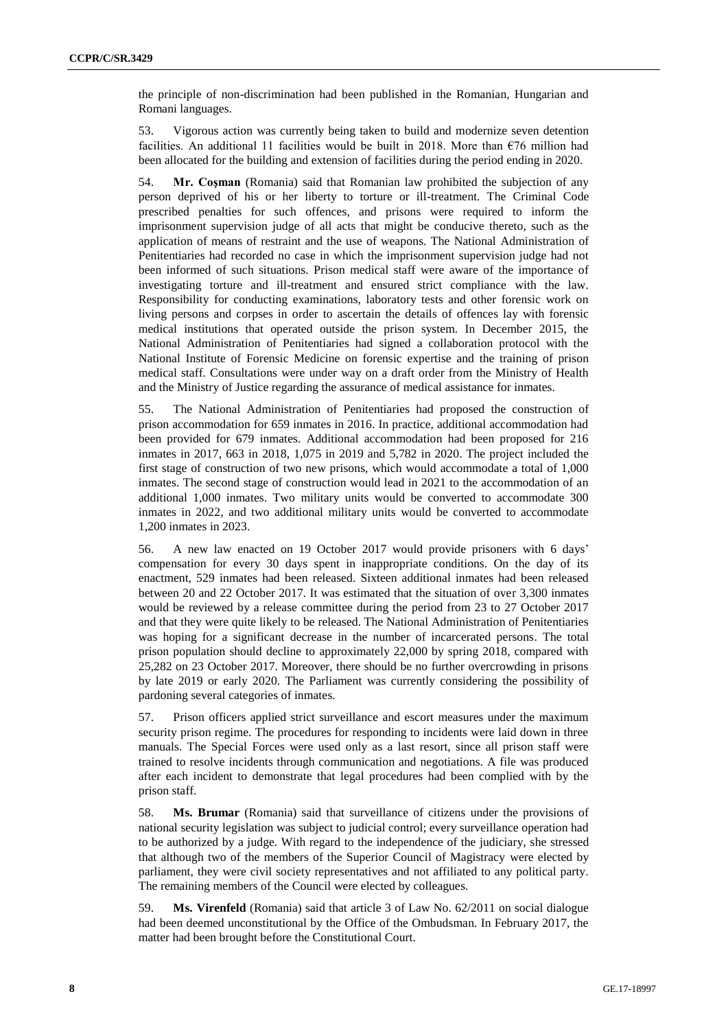the principle of non-discrimination had been published in the Romanian, Hungarian and Romani languages.

53. Vigorous action was currently being taken to build and modernize seven detention facilities. An additional 11 facilities would be built in 2018. More than  $\epsilon$ 76 million had been allocated for the building and extension of facilities during the period ending in 2020.

54. **Mr. Coşman** (Romania) said that Romanian law prohibited the subjection of any person deprived of his or her liberty to torture or ill-treatment. The Criminal Code prescribed penalties for such offences, and prisons were required to inform the imprisonment supervision judge of all acts that might be conducive thereto, such as the application of means of restraint and the use of weapons. The National Administration of Penitentiaries had recorded no case in which the imprisonment supervision judge had not been informed of such situations. Prison medical staff were aware of the importance of investigating torture and ill-treatment and ensured strict compliance with the law. Responsibility for conducting examinations, laboratory tests and other forensic work on living persons and corpses in order to ascertain the details of offences lay with forensic medical institutions that operated outside the prison system. In December 2015, the National Administration of Penitentiaries had signed a collaboration protocol with the National Institute of Forensic Medicine on forensic expertise and the training of prison medical staff. Consultations were under way on a draft order from the Ministry of Health and the Ministry of Justice regarding the assurance of medical assistance for inmates.

55. The National Administration of Penitentiaries had proposed the construction of prison accommodation for 659 inmates in 2016. In practice, additional accommodation had been provided for 679 inmates. Additional accommodation had been proposed for 216 inmates in 2017, 663 in 2018, 1,075 in 2019 and 5,782 in 2020. The project included the first stage of construction of two new prisons, which would accommodate a total of 1,000 inmates. The second stage of construction would lead in 2021 to the accommodation of an additional 1,000 inmates. Two military units would be converted to accommodate 300 inmates in 2022, and two additional military units would be converted to accommodate 1,200 inmates in 2023.

56. A new law enacted on 19 October 2017 would provide prisoners with 6 days' compensation for every 30 days spent in inappropriate conditions. On the day of its enactment, 529 inmates had been released. Sixteen additional inmates had been released between 20 and 22 October 2017. It was estimated that the situation of over 3,300 inmates would be reviewed by a release committee during the period from 23 to 27 October 2017 and that they were quite likely to be released. The National Administration of Penitentiaries was hoping for a significant decrease in the number of incarcerated persons. The total prison population should decline to approximately 22,000 by spring 2018, compared with 25,282 on 23 October 2017. Moreover, there should be no further overcrowding in prisons by late 2019 or early 2020. The Parliament was currently considering the possibility of pardoning several categories of inmates.

57. Prison officers applied strict surveillance and escort measures under the maximum security prison regime. The procedures for responding to incidents were laid down in three manuals. The Special Forces were used only as a last resort, since all prison staff were trained to resolve incidents through communication and negotiations. A file was produced after each incident to demonstrate that legal procedures had been complied with by the prison staff.

58. **Ms. Brumar** (Romania) said that surveillance of citizens under the provisions of national security legislation was subject to judicial control; every surveillance operation had to be authorized by a judge. With regard to the independence of the judiciary, she stressed that although two of the members of the Superior Council of Magistracy were elected by parliament, they were civil society representatives and not affiliated to any political party. The remaining members of the Council were elected by colleagues.

59. **Ms. Virenfeld** (Romania) said that article 3 of Law No. 62/2011 on social dialogue had been deemed unconstitutional by the Office of the Ombudsman. In February 2017, the matter had been brought before the Constitutional Court.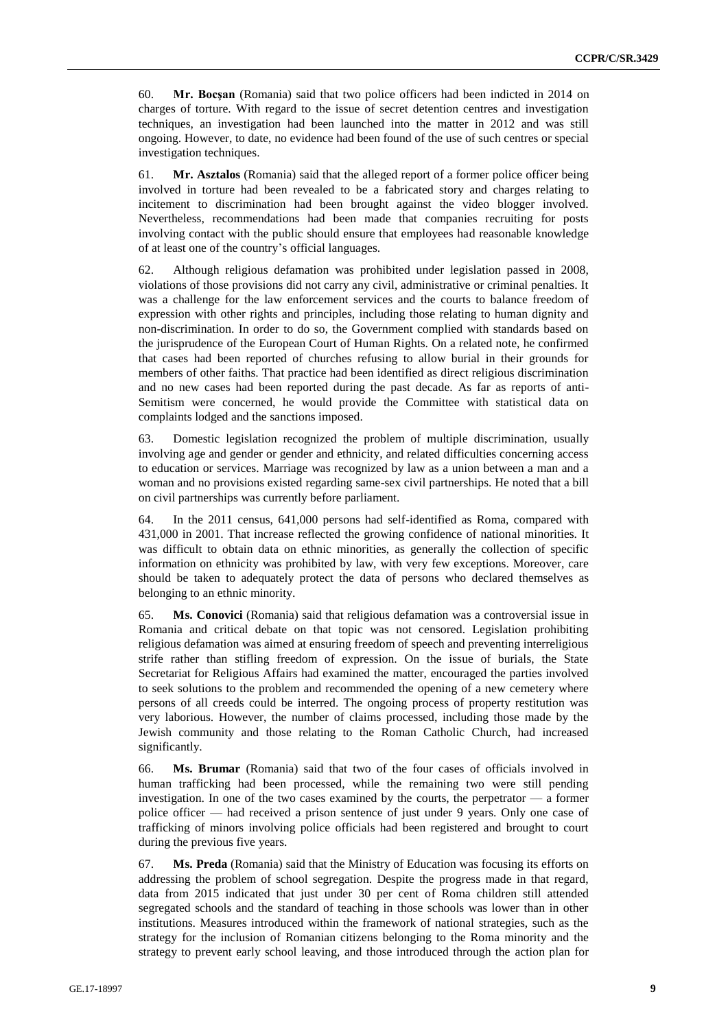60. **Mr. Bocşan** (Romania) said that two police officers had been indicted in 2014 on charges of torture. With regard to the issue of secret detention centres and investigation techniques, an investigation had been launched into the matter in 2012 and was still ongoing. However, to date, no evidence had been found of the use of such centres or special investigation techniques.

61. **Mr. Asztalos** (Romania) said that the alleged report of a former police officer being involved in torture had been revealed to be a fabricated story and charges relating to incitement to discrimination had been brought against the video blogger involved. Nevertheless, recommendations had been made that companies recruiting for posts involving contact with the public should ensure that employees had reasonable knowledge of at least one of the country's official languages.

62. Although religious defamation was prohibited under legislation passed in 2008, violations of those provisions did not carry any civil, administrative or criminal penalties. It was a challenge for the law enforcement services and the courts to balance freedom of expression with other rights and principles, including those relating to human dignity and non-discrimination. In order to do so, the Government complied with standards based on the jurisprudence of the European Court of Human Rights. On a related note, he confirmed that cases had been reported of churches refusing to allow burial in their grounds for members of other faiths. That practice had been identified as direct religious discrimination and no new cases had been reported during the past decade. As far as reports of anti-Semitism were concerned, he would provide the Committee with statistical data on complaints lodged and the sanctions imposed.

63. Domestic legislation recognized the problem of multiple discrimination, usually involving age and gender or gender and ethnicity, and related difficulties concerning access to education or services. Marriage was recognized by law as a union between a man and a woman and no provisions existed regarding same-sex civil partnerships. He noted that a bill on civil partnerships was currently before parliament.

64. In the 2011 census, 641,000 persons had self-identified as Roma, compared with 431,000 in 2001. That increase reflected the growing confidence of national minorities. It was difficult to obtain data on ethnic minorities, as generally the collection of specific information on ethnicity was prohibited by law, with very few exceptions. Moreover, care should be taken to adequately protect the data of persons who declared themselves as belonging to an ethnic minority.

65. **Ms. Conovici** (Romania) said that religious defamation was a controversial issue in Romania and critical debate on that topic was not censored. Legislation prohibiting religious defamation was aimed at ensuring freedom of speech and preventing interreligious strife rather than stifling freedom of expression. On the issue of burials, the State Secretariat for Religious Affairs had examined the matter, encouraged the parties involved to seek solutions to the problem and recommended the opening of a new cemetery where persons of all creeds could be interred. The ongoing process of property restitution was very laborious. However, the number of claims processed, including those made by the Jewish community and those relating to the Roman Catholic Church, had increased significantly.

66. **Ms. Brumar** (Romania) said that two of the four cases of officials involved in human trafficking had been processed, while the remaining two were still pending investigation. In one of the two cases examined by the courts, the perpetrator — a former police officer — had received a prison sentence of just under 9 years. Only one case of trafficking of minors involving police officials had been registered and brought to court during the previous five years.

67. **Ms. Preda** (Romania) said that the Ministry of Education was focusing its efforts on addressing the problem of school segregation. Despite the progress made in that regard, data from 2015 indicated that just under 30 per cent of Roma children still attended segregated schools and the standard of teaching in those schools was lower than in other institutions. Measures introduced within the framework of national strategies, such as the strategy for the inclusion of Romanian citizens belonging to the Roma minority and the strategy to prevent early school leaving, and those introduced through the action plan for